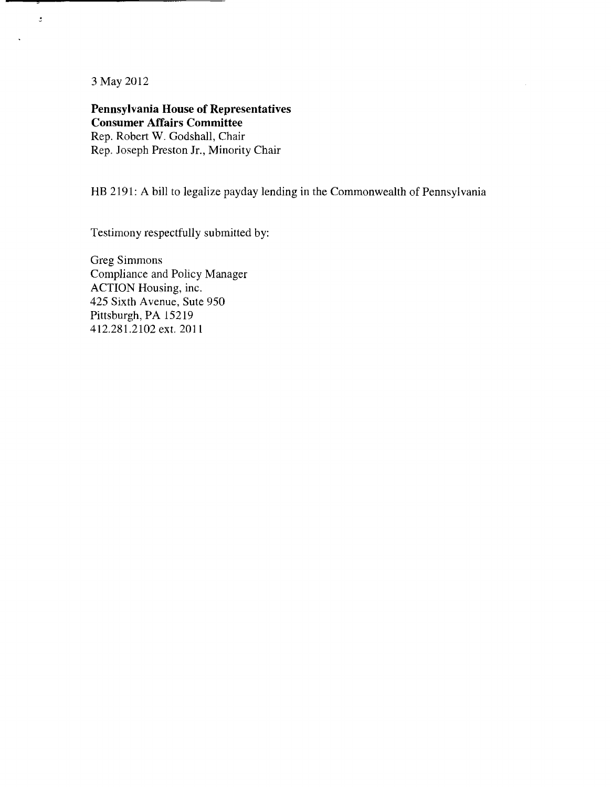3 May 2012

 $\mathbf{r}$ 

**Pennsylvania House of Representatives Consumer Affairs Committee**  Rep. Robert **W.** Godshall, Chair Rep. Joseph Preston Jr., Minority Chair

HB 2191: A bill to legalize payday lending in the Commonwealth of Pennsylvania

Testimony respectfully submitted by:

Greg Simmons Compliance and Policy Manager ACTION Housing, inc. 425 Sixth Avenue, Sute 950 Pittsburgh, PA 15219 412.281.2102 ext. 201 I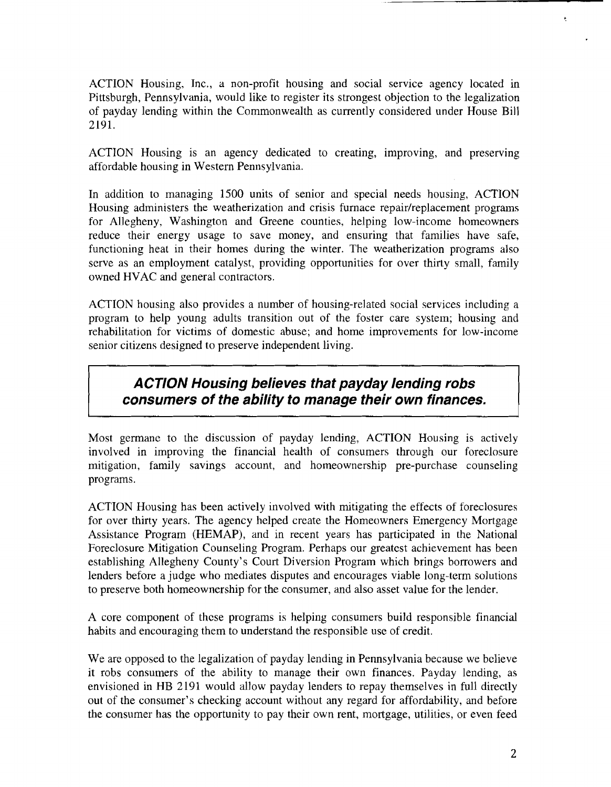ACTION Housing, Inc., a non-profit housing and social service agency located in Pittsburgh, Pennsylvania, would like to register its strongest objection to the legalization of payday lending within the Commonwealth as currently considered under House Bill 2191.

ACTION Housing is an agency dedicated to creating, improving, and preserving affordable housing in Western Pennsylvania.

In addition to managing 1500 units of senior and special needs housing, ACTION Housing administers the weatherization and crisis furnace repair/replacement programs for Allegheny, Washington and Greene counties, helping low-income homeowners reduce their energy usage to save money, and ensuring that families have safe, functioning heat in their homes during the winter. The weatherization programs also serve as an employment catalyst, providing opportunities for over thirty small, family owned HVAC and general contractors.

ACTION housing also provides a number of housing-related social services including a program to help young adults transition out of the foster care system; housing and rehabilitation for victims of domestic abuse; and home improvements for low-income senior citizens designed to preserve independent living.

# **ACTION Housing believes that payday lending robs consumers of the ability to manage their own finances.**

Most germane to the discussion of payday lending, ACTION Housing is actively involved in improving the financial health of consumers through our foreclosure mitigation, family savings account, and homeownership pre-purchase counseling programs.

ACTION Housing has been actively involved with mitigating the effects of foreclosures for over thirty years. The agency helped create the Homeowners Emergency Mortgage Assistance Program (HEMAP), and in recent years has participated in the National Foreclosure Mitigation Counseling Program. Perhaps our greatest achievement has been establishing Allegheny County's Court Diversion Program which brings borrowers and lenders before a judge who mediates disputes and encourages viable long-term solutions to preserve both homeownership for the consumer, and also asset value for the lender.

A core component of thcse programs is helping consumers build responsible financial habits and encouraging them to understand the responsible use of credit.

We are opposed to the legalization of payday lending in Pennsylvania because we believe it robs consumers of the ability to manage their own finances. Payday lending, as envisioned in HB 2191 would allow payday lenders to repay themselves in full directly out of the consumer's checking account without any regard for affordability, and before the consumer has the opportunity to pay thcir own rent, mortgage, utilities, or even feed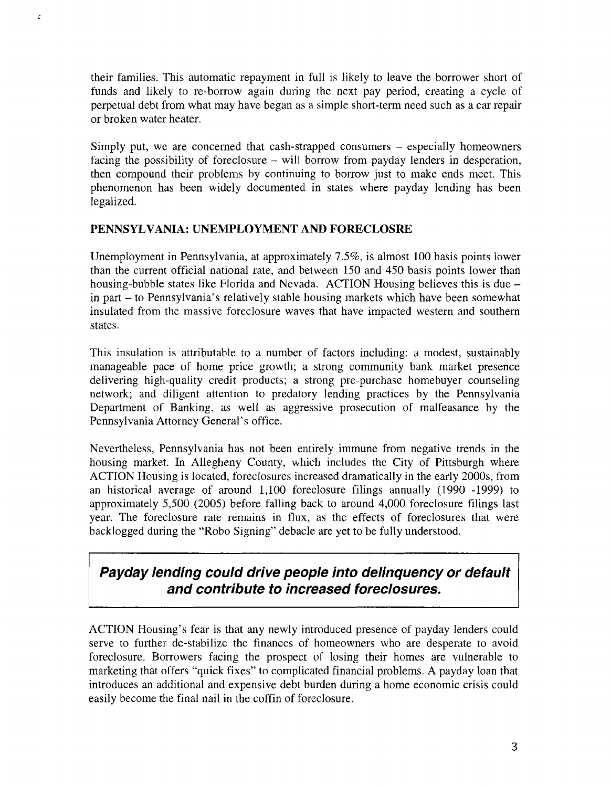their families. This automatic repayment in full is likely to leave the borrower short of funds and likely to re-borrow again during the next pay period, creating a cycle of perpetual debt from what may have began as a simple short-term need such as a car repair or broken water heater.

Simply put, we are concerned that cash-strapped consumers – especially homeowners facing the possibility of foreclosure - will borrow from payday lenders in desperation, then compound their problems by continuing to borrow just to make ends meet. This phenomenon has been widely documented in states where payday lending has been legalized.

#### **PENNSYLVANIA: UNENIPLOYNIENT AND FORECLOSRE**

é

Unemployment in Pennsylvania, at approximately  $7.5\%$ , is almost 100 basis points lower than the current official national rate, and between 150 and 450 basis points lower than housing-bubble states like Florida and Nevada. ACTION Housing believes this is due in part - to Pennsylvania's relatively stable housing markets which have been somewhat insulated from the massive foreclosure waves that have impacted western and southern states.

This insulation is attributable to a number of factors including: a modest, sustainably manageable pace of home price growth; a strong community bank market presence delivering high-quality credit products; a strong pre-purchase homebuyer counseling network; and diligent attention to predatory lending practices by the Pennsylvania Department of Banking, as well as aggressive prosecution of malfeasance by the Pennsylvania Attorney General's office.

Nevertheless, Pennsylvania has not been entirely immune from negative trends in the housing market. In Allegheny County, which includes thc City of Pittsburgh where ACTION Housing is located, foreclosures increased dramatically in the early 2000s, from an historical average of around 1,100 foreclosure filings annually (1990 -1999) to approximately  $5,500$  (2005) before falling back to around  $4,000$  foreclosure filings last year. The foreclosure rate remains in flux, as the effects of foreclosures that were backlogged during the "Robo Signing" debacle are yet to be fully understood.

# **Payday lending could drive people into delinquency or default and contribute to increased foreclosures.**

ACTION Housing's fear is that any newly introduced presence of payday lenders could serve to further de-stabilize the finances of homeowners who are desperate to avoid foreclosure. Borrowers facing the prospect of losing their homes are vulnerable to marketing that offers "quick fixes" to complicated financial problems. A payday loan that introduces an additional and expensive debt burden during a home economic crisis could easily become the final nail in the coffin of foreclosure.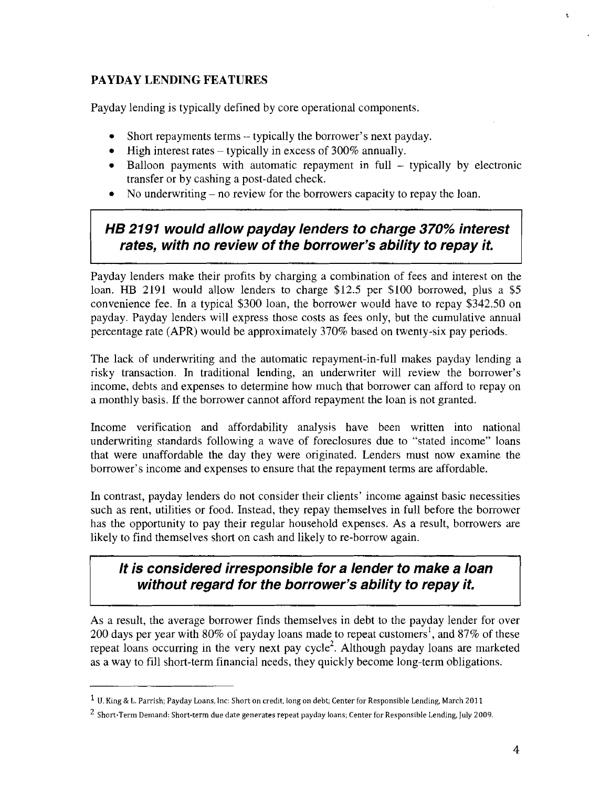#### **PAYDAY LENDING FEATURES**

Payday lending is typically defined by core operational components.

- $\bullet$  Short repayments terms typically the borrower's next payday.
- $\bullet$  High interest rates typically in excess of 300% annually.
- $\bullet$  Balloon payments with automatic repayment in full typically by electronic transfer or by cashing a post-dated check.
- $\bullet$ No underwriting  $-$  no review for the borrowers capacity to repay the loan.

## **HB 2191 would allow payday lenders to charge 370% interest rates, with no review of the borrower's ability to repay it.**

Payday lenders make their profits by charging a combination of fees and interest on the loan. HB 2191 would allow lenders to charge \$12.5 per \$100 borrowed, plus a \$5 convenience fee. In a typical \$300 loan, the borrower would have to rcpay \$342.50 on payday. Payday lenders will express those costs as fees only, but the cumulative annual percentage rate (APR) would be approximately 370% based on twenty-six pay periods.

The lack of underwriting and the automatic repayment-in-full makes payday lending a risky transaction. In traditional lending, an underwriter will review the borrower's income, debts and expenses to determine how much that borrower can afford to repay on a monthly basis. If the borrower cannot afford repayment the loan is not granted.

Income verification and affordability analysis have been written into national underwriting standards following a wave of foreclosures due to "stated income" loans that were unaffordable the day they were originated. Lenders must now examine the borrower's income and expenses to ensure that the repayment terms are affordable.

In contrast, payday lenders do not consider their clients' income against basic necessities such as rent, utilities or food. Instead, they repay themselves in full before the borrowcr has the opportunity to pay their regular household expenses. As a result, borrowers are likely to find themselves short on cash and likely to re-borrow again.

## **It is considered irresponsible for a lender to make a loan without regard for the borrower's ability to repay it.**

As a result, the average borrower finds themselves in debt to the payday lender for over 200 days per year with 80% of payday loans made to repeat customers<sup>1</sup>, and 87% of these repeat loans occurring in the very next pay  $cycle<sup>2</sup>$ . Although payday loans are marketed as a way to fill short-term financial needs, they quickly become long-term obligations.

 $\hat{\mathbf{x}}$ 

**U.** King & L. Parrish; Payday Loans, Inc: Short on credit, long on debt; Center for Responsible Lending, March 201 1

Short-Term Demand: Short-term due date generates repeat payday loans; Center for Responsible Lending, July 2009.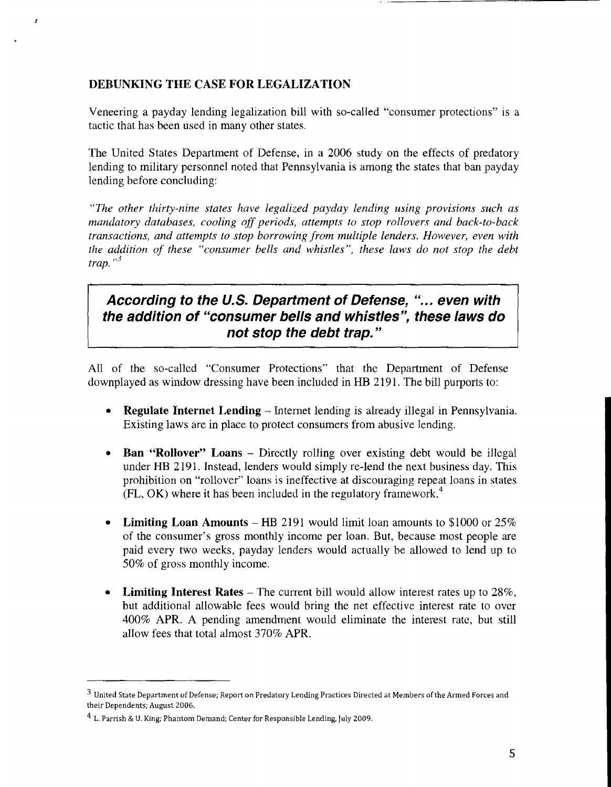#### **DEBUNKING THE CASE FOR LEGALIZATION**

Veneering a payday lending legalization bill with so-called "consumer protections" is a tactic that has been used in many other states.

The United States Department of Defense, in a 2006 study on the effects of predatory lending to military personnel noted that Pennsylvania is among the states that ban payday lending before concluding:

*"The other thirty-nine states have legalized payday lending using provisions such as mandatory databases, cooling off periods, attempts to stop rollovers and back-to-back transactions, and attempts to stop borrowing,frunz multiple lenders. However, even with the addition of these "consumer bells and whistles", these laws do not stop the debt*  $\int$ *trap.*  $\binom{3}{2}$ 

## According to the U.S. Department of Defense, "... even with **the addition of "consumer bells and whistles", these laws do not stop the debt trap."**

All of the so-called "Consumer Protections" that the Department of Defense downplayed as window dressing have been included in HB 2191. The bill purports to:

- **Regulate Internet Lending** Internet lending is already illegal in Pennsylvania. Existing laws are in place to protect consumers from abusive lending.
- **Ban "Rollover" Loans –** Directly rolling over existing debt would be illegal under HB 2191. Instead, lenders would simply re-lend the next business day. This prohibition on "rollover" loans is ineffective at discouraging repeat loans in states  $(FL, OK)$  where it has been included in the regulatory framework.<sup>4</sup>
- **Limiting Loan Amounts HB 2191 would limit loan amounts to \$1000 or 25%** of the consumer's gross monthly income per loan. But, because most people are paid every two weeks, payday lenders would actually be allowed to lend up to 50% of gross monthly income.
- **Limiting Interest Rates** The current bill would allow interest rates up to 28%, but additional allowable fees would bring the net effective interest rate to over 400% APR. A pending amendment would eliminate the interest rate, but still allow fees that total almost 370% APR.

United State Department of Defense; Report on Predatory Lending Practices Directed at Members of the Armed Forces and their Dependents; August 2006.

L. Parrish & **U.** King; Phantom Demand; Center for Responsible Lending, July 2009.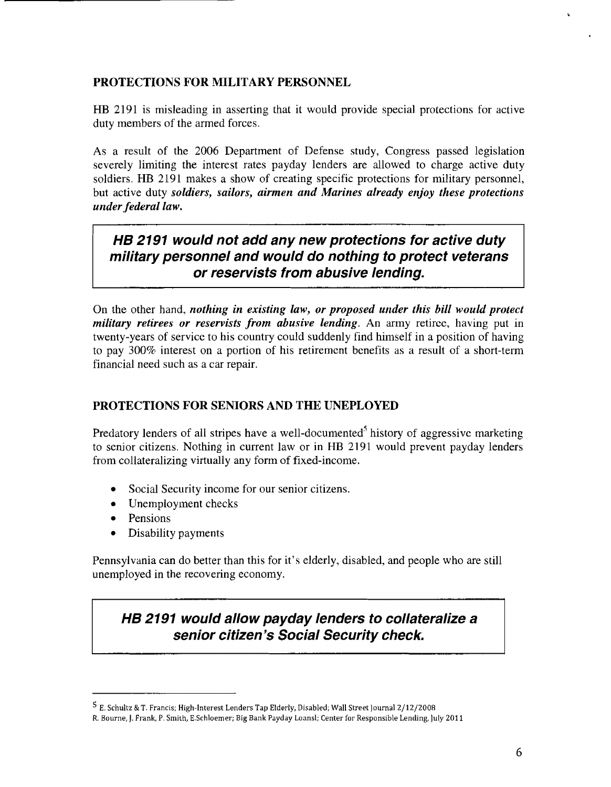#### **PROTECTIONS FOR MILITARY PERSONNEL**

HB 2191 is misleading in asserting that it would provide special protections for active duty members of the armed forces.

As a result of the 2006 Department of Defense study, Congress passed legislation severely limiting the interest rates payday lenders are allowed to charge active duty soldiers. HB 2191 makes a show of creating specific protections for military personnel, but active duty *soldiers, sailors, airmen and Marines already enjoy these protections*  $under federal law.$ 

## **HB 2191 would not add any new protections for active duty military personnel and would do nothing to protect veterans or reservists from abusive lending.**

On the other hand, *nothing in existing law, or proposed under this bill would protect military retirees or reservists from abusive lending.* An army retiree, having put in twenty-years of service to his country could suddenly find himself in a position of having to pay 300% interest on a portion of his retirement benefits as a result of a short-term financial need such as a car repair.

#### **PROTECTIONS FOR SENIORS AND THE UNEPLOYED**

Predatory lenders of all stripes have a well-documented<sup>5</sup> history of aggressive marketing to senior citizens. Nothing in current law or in HB 2191 would prevent payday lenders from collateralizing virtually any form of fixed-income.

- Social Security income for our senior citizens.
- $\bullet$  Unemployment checks
- Pensions
- Disability payments

Pennsylvania can do better than this for it's elderly, disabled, and people who are still unemployed in the recovering economy.

**HB 2191 would allow payday lenders to collateralize a senior citizen's Social Security check.** 

E. Schultz &T. Francis; High-Interest Lenders Tap Elderly, Disabled; Wall Street Iournal 2/12/2008

R. Bourne, J. Frank, P. Smith, E.Schloemer; Big Bank Payday Loansl; Center for Responsible Lending, July 2011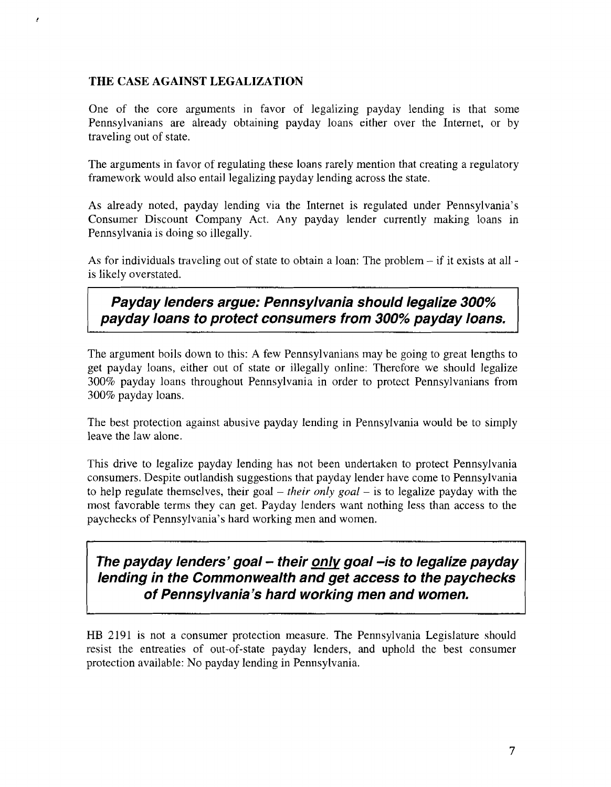#### **THE CASE AGAINST LEGALIZATION**

 $\epsilon$ 

One of thc core arguments in favor of legalizing payday lending is that some Pennsylvanians are already obtaining payday loans either over the Internet, or by traveling out of state.

The arguments in favor of regulating these loans rarely mention that creating a regulatory framework would also entail legalizing payday lending across the state.

As already noted, payday lending via the Internet is regulated under Pennsylvania's Consumer Discount Company Act. Any payday lender currently making loans in Pennsylvania is doing so illegally.

**As** for individuals traveling out of state to obtain a loan: The problem - if it exists at all is likely overstated.

**Payday lenders argue: Pennsylvania should legalize 300% payday loans to protect consumers from 300% payday loans.** 

The argument boils down to this: A few Pennsylvanians may be going to great lengths to get payday loans, either out of state or illegally online: Therefore we should legalize 300% payday loans throughout Pennsylvania in order to protect Pennsylvanians from 300% payday loans.

The best protection against abusive payday lending in Pennsylvania would be to simply leave the law alone.

This drive to legalize payday lending has not been undertaken to protect Pennsylvania consumers. Despite outlandish suggestions that payday lender have come to Pennsylvania to help regulate themselves, their goal – their only goal – is to legalize payday with the most favorable terms they can get. Payday lenders want nothing less than access to the paychecks of Pennsylvania's hard working men and women.

The payday lenders' goal - their only goal - is to legalize payday **lending in the Commonwealth and get access to the paychecks of Pennsylvania's hard working men and women.** 

HE 2191 is not a consumer protection measure. The Pennsylvania Legislature should resist the entreaties of out-of-state payday lenders, and uphold the best consumer protection available: No payday lending in Pennsylvania.